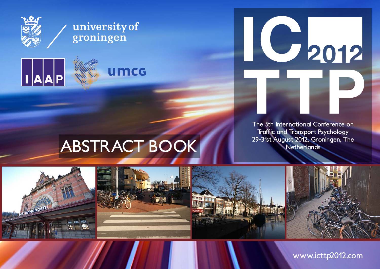

## university of groningen



# C 2012

**The 5th International Conference on Traffic and Transport Psychology**

# **29-31st August 2012, Groningen, The ABSTRACT BOOK Netherlands**



**www.icttp2012.com**